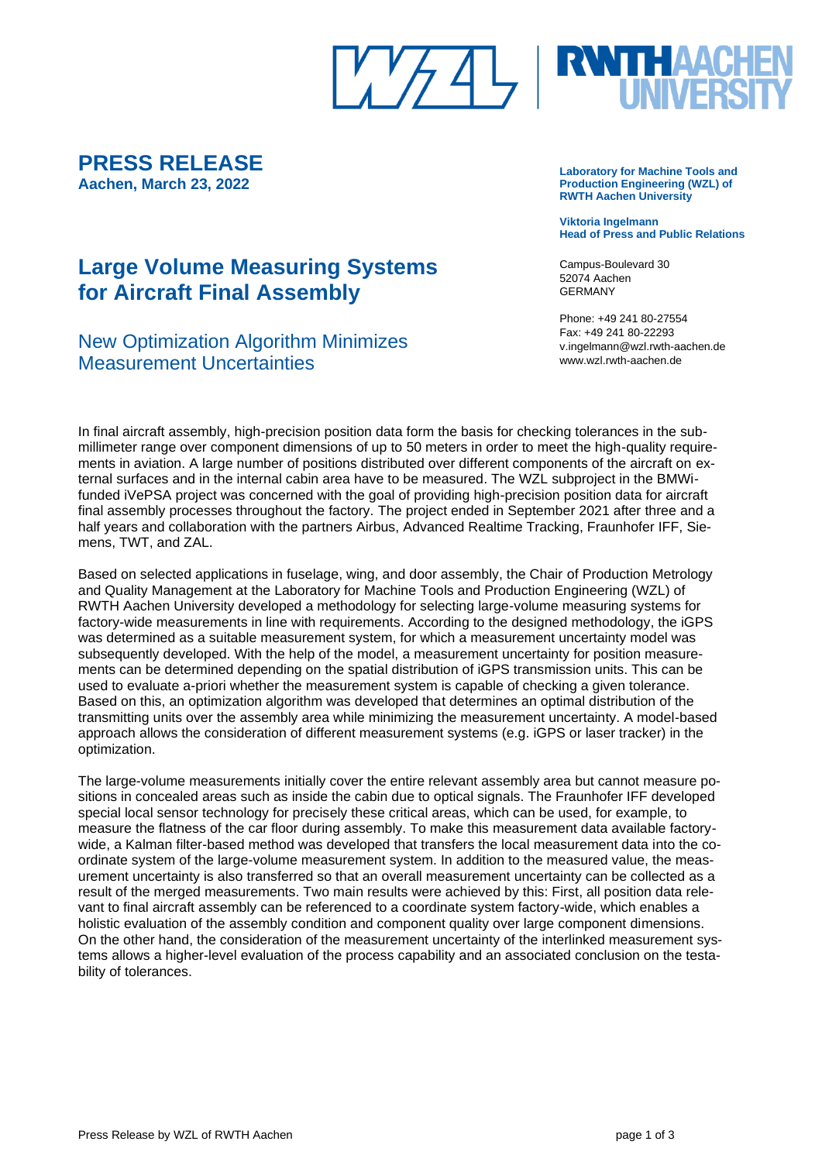

**PRESS RELEASE Aachen, March 23, 2022**

# **Large Volume Measuring Systems for Aircraft Final Assembly**

## New Optimization Algorithm Minimizes Measurement Uncertainties

**Laboratory for Machine Tools and Production Engineering (WZL) of RWTH Aachen University**

**Viktoria Ingelmann Head of Press and Public Relations**

Campus-Boulevard 30 52074 Aachen GERMANY

Phone: +49 241 80-27554 Fax: +49 241 80-22293 v.ingelmann@wzl.rwth-aachen.de www.wzl.rwth-aachen.de

In final aircraft assembly, high-precision position data form the basis for checking tolerances in the submillimeter range over component dimensions of up to 50 meters in order to meet the high-quality requirements in aviation. A large number of positions distributed over different components of the aircraft on external surfaces and in the internal cabin area have to be measured. The WZL subproject in the BMWifunded iVePSA project was concerned with the goal of providing high-precision position data for aircraft final assembly processes throughout the factory. The project ended in September 2021 after three and a half years and collaboration with the partners Airbus, Advanced Realtime Tracking, Fraunhofer IFF, Siemens, TWT, and ZAL.

Based on selected applications in fuselage, wing, and door assembly, the Chair of Production Metrology and Quality Management at the Laboratory for Machine Tools and Production Engineering (WZL) of RWTH Aachen University developed a methodology for selecting large-volume measuring systems for factory-wide measurements in line with requirements. According to the designed methodology, the iGPS was determined as a suitable measurement system, for which a measurement uncertainty model was subsequently developed. With the help of the model, a measurement uncertainty for position measurements can be determined depending on the spatial distribution of iGPS transmission units. This can be used to evaluate a-priori whether the measurement system is capable of checking a given tolerance. Based on this, an optimization algorithm was developed that determines an optimal distribution of the transmitting units over the assembly area while minimizing the measurement uncertainty. A model-based approach allows the consideration of different measurement systems (e.g. iGPS or laser tracker) in the optimization.

The large-volume measurements initially cover the entire relevant assembly area but cannot measure positions in concealed areas such as inside the cabin due to optical signals. The Fraunhofer IFF developed special local sensor technology for precisely these critical areas, which can be used, for example, to measure the flatness of the car floor during assembly. To make this measurement data available factorywide, a Kalman filter-based method was developed that transfers the local measurement data into the coordinate system of the large-volume measurement system. In addition to the measured value, the measurement uncertainty is also transferred so that an overall measurement uncertainty can be collected as a result of the merged measurements. Two main results were achieved by this: First, all position data relevant to final aircraft assembly can be referenced to a coordinate system factory-wide, which enables a holistic evaluation of the assembly condition and component quality over large component dimensions. On the other hand, the consideration of the measurement uncertainty of the interlinked measurement systems allows a higher-level evaluation of the process capability and an associated conclusion on the testability of tolerances.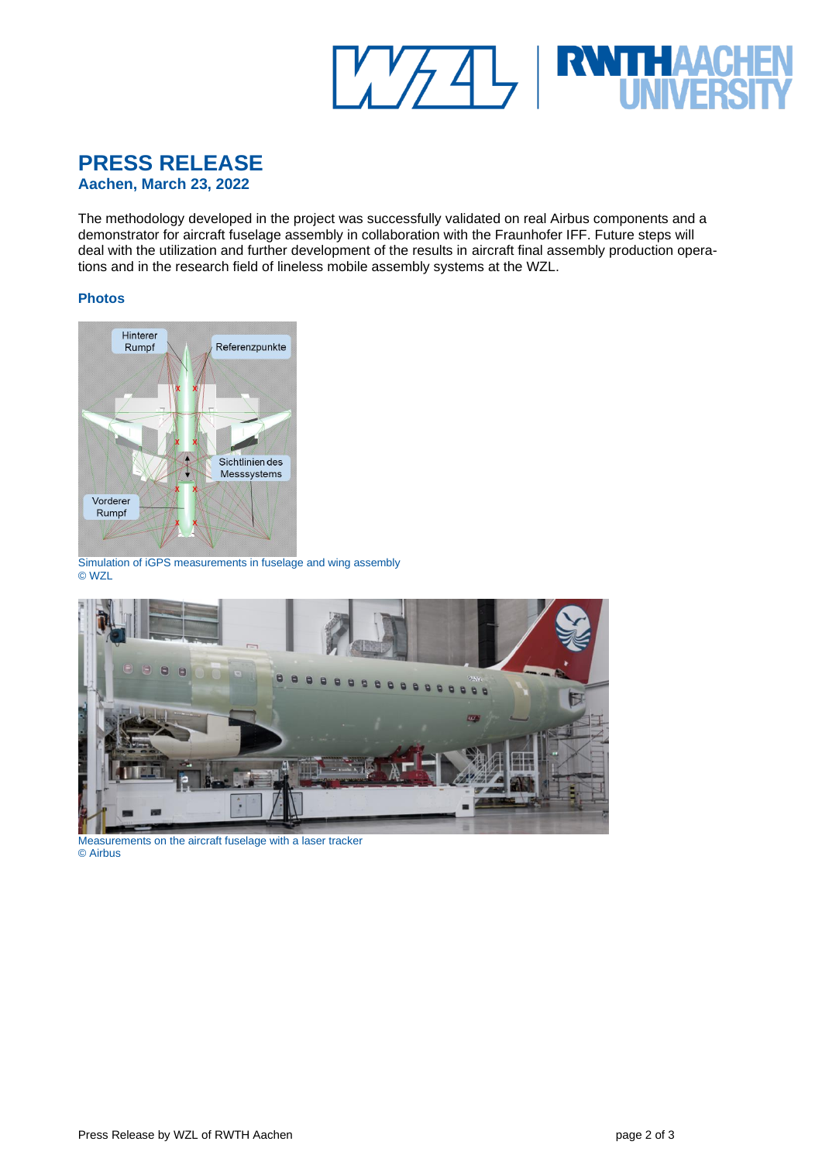

## **PRESS RELEASE Aachen, March 23, 2022**

The methodology developed in the project was successfully validated on real Airbus components and a demonstrator for aircraft fuselage assembly in collaboration with the Fraunhofer IFF. Future steps will deal with the utilization and further development of the results in aircraft final assembly production operations and in the research field of lineless mobile assembly systems at the WZL.

#### **Photos**



Simulation of iGPS measurements in fuselage and wing assembly © WZL



Measurements on the aircraft fuselage with a laser tracker © Airbus